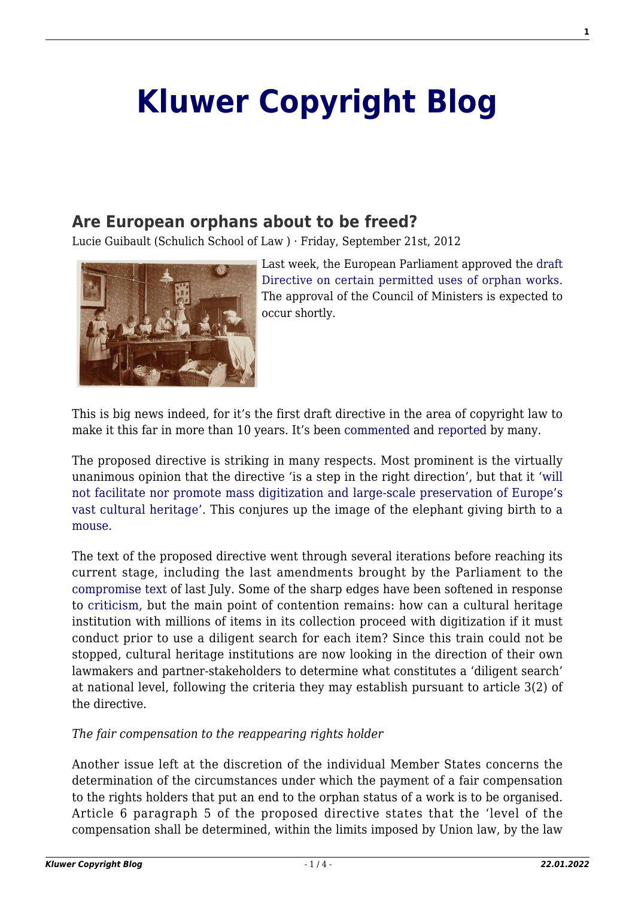# **[Kluwer Copyright Blog](http://copyrightblog.kluweriplaw.com/)**

## **[Are European orphans about to be freed?](http://copyrightblog.kluweriplaw.com/2012/09/21/are-european-orphans-about-to-be-freed/)**

Lucie Guibault (Schulich School of Law ) · Friday, September 21st, 2012



Last week, the European Parliament approved the [draft](http://www.europarl.europa.eu/sides/getDoc.do?type=TA&reference=P7-TA-2012-0349&language=EN&ring=A7-2012-0055) [Directive on certain permitted uses of orphan works.](http://www.europarl.europa.eu/sides/getDoc.do?type=TA&reference=P7-TA-2012-0349&language=EN&ring=A7-2012-0055) The approval of the Council of Ministers is expected to occur shortly.

This is big news indeed, for it's the first draft directive in the area of copyright law to make it this far in more than 10 years. It's been [commented](http://ipkitten.blogspot.nl/2012/09/orphan-works-directive-approved-by-eu.html) and [reported](http://the1709blog.blogspot.nl/2012/09/eu-directive-on-orphan-works-on-its-way.html) by many.

The proposed directive is striking in many respects. Most prominent is the virtually unanimous opinion that the directive 'is a step in the right direction', but that it '[will](http://www.ip-watch.org/2012/09/13/european-parliament-passes-orphan-works-directive/) [not facilitate nor promote mass digitization and large-scale preservation of Europe's](http://www.ip-watch.org/2012/09/13/european-parliament-passes-orphan-works-directive/) [vast cultural heritage'.](http://www.ip-watch.org/2012/09/13/european-parliament-passes-orphan-works-directive/) This conjures up the image of the elephant giving birth to a [mouse.](http://museumvictoria.com.au/custom/dialogs/thumbnail.jpg?&i=/pages/35504/000010848.jpg&resizewidth=true&w=475&h=338)

The text of the proposed directive went through several iterations before reaching its current stage, including the last amendments brought by the Parliament to the [compromise text](http://register.consilium.europa.eu/pdf/en/12/st10/st10953.en12.pdf) of last July. Some of the sharp edges have been softened in response to [criticism](http://www.communia-association.org/2012/06/25/orphan-works-compromise-fails-to-deliver/), but the main point of contention remains: how can a cultural heritage institution with millions of items in its collection proceed with digitization if it must conduct prior to use a diligent search for each item? Since this train could not be stopped, cultural heritage institutions are now looking in the direction of their own lawmakers and partner-stakeholders to determine what constitutes a 'diligent search' at national level, following the criteria they may establish pursuant to article 3(2) of the directive.

#### *The fair compensation to the reappearing rights holder*

Another issue left at the discretion of the individual Member States concerns the determination of the circumstances under which the payment of a fair compensation to the rights holders that put an end to the orphan status of a work is to be organised. Article 6 paragraph 5 of the proposed directive states that the 'level of the compensation shall be determined, within the limits imposed by Union law, by the law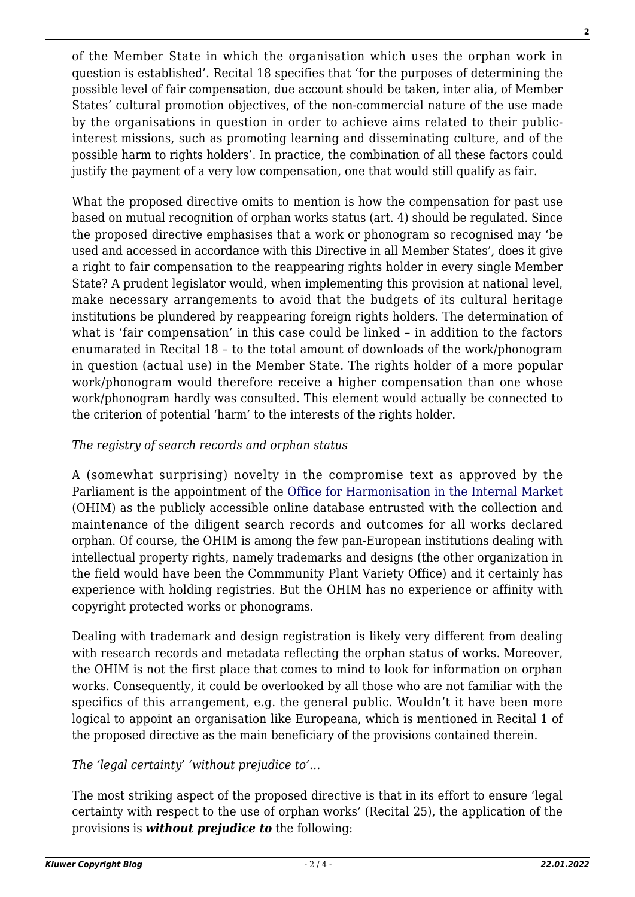of the Member State in which the organisation which uses the orphan work in question is established'. Recital 18 specifies that 'for the purposes of determining the possible level of fair compensation, due account should be taken, inter alia, of Member States' cultural promotion objectives, of the non-commercial nature of the use made by the organisations in question in order to achieve aims related to their publicinterest missions, such as promoting learning and disseminating culture, and of the possible harm to rights holders'. In practice, the combination of all these factors could justify the payment of a very low compensation, one that would still qualify as fair.

What the proposed directive omits to mention is how the compensation for past use based on mutual recognition of orphan works status (art. 4) should be regulated. Since the proposed directive emphasises that a work or phonogram so recognised may 'be used and accessed in accordance with this Directive in all Member States', does it give a right to fair compensation to the reappearing rights holder in every single Member State? A prudent legislator would, when implementing this provision at national level, make necessary arrangements to avoid that the budgets of its cultural heritage institutions be plundered by reappearing foreign rights holders. The determination of what is 'fair compensation' in this case could be linked – in addition to the factors enumarated in Recital 18 – to the total amount of downloads of the work/phonogram in question (actual use) in the Member State. The rights holder of a more popular work/phonogram would therefore receive a higher compensation than one whose work/phonogram hardly was consulted. This element would actually be connected to the criterion of potential 'harm' to the interests of the rights holder.

### *The registry of search records and orphan status*

A (somewhat surprising) novelty in the compromise text as approved by the Parliament is the appointment of the [Office for Harmonisation in the Internal Market](http://oami.europa.eu/ows/rw/pages/index.en.do) (OHIM) as the publicly accessible online database entrusted with the collection and maintenance of the diligent search records and outcomes for all works declared orphan. Of course, the OHIM is among the few pan-European institutions dealing with intellectual property rights, namely trademarks and designs (the other organization in the field would have been the Commmunity Plant Variety Office) and it certainly has experience with holding registries. But the OHIM has no experience or affinity with copyright protected works or phonograms.

Dealing with trademark and design registration is likely very different from dealing with research records and metadata reflecting the orphan status of works. Moreover, the OHIM is not the first place that comes to mind to look for information on orphan works. Consequently, it could be overlooked by all those who are not familiar with the specifics of this arrangement, e.g. the general public. Wouldn't it have been more logical to appoint an organisation like Europeana, which is mentioned in Recital 1 of the proposed directive as the main beneficiary of the provisions contained therein.

### *The 'legal certainty' 'without prejudice to'…*

The most striking aspect of the proposed directive is that in its effort to ensure 'legal certainty with respect to the use of orphan works' (Recital 25), the application of the provisions is *without prejudice to* the following:

**2**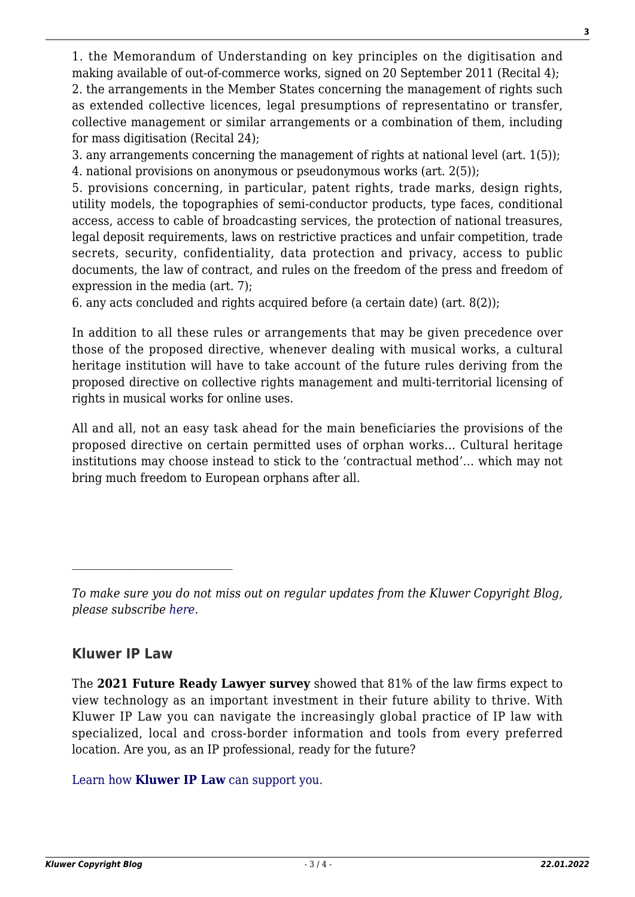1. the Memorandum of Understanding on key principles on the digitisation and making available of out-of-commerce works, signed on 20 September 2011 (Recital 4); 2. the arrangements in the Member States concerning the management of rights such as extended collective licences, legal presumptions of representatino or transfer, collective management or similar arrangements or a combination of them, including for mass digitisation (Recital 24);

3. any arrangements concerning the management of rights at national level (art. 1(5)); 4. national provisions on anonymous or pseudonymous works (art. 2(5));

5. provisions concerning, in particular, patent rights, trade marks, design rights, utility models, the topographies of semi-conductor products, type faces, conditional access, access to cable of broadcasting services, the protection of national treasures, legal deposit requirements, laws on restrictive practices and unfair competition, trade secrets, security, confidentiality, data protection and privacy, access to public documents, the law of contract, and rules on the freedom of the press and freedom of expression in the media (art. 7);

6. any acts concluded and rights acquired before (a certain date) (art. 8(2));

In addition to all these rules or arrangements that may be given precedence over those of the proposed directive, whenever dealing with musical works, a cultural heritage institution will have to take account of the future rules deriving from the proposed directive on collective rights management and multi-territorial licensing of rights in musical works for online uses.

All and all, not an easy task ahead for the main beneficiaries the provisions of the proposed directive on certain permitted uses of orphan works… Cultural heritage institutions may choose instead to stick to the 'contractual method'… which may not bring much freedom to European orphans after all.

### **Kluwer IP Law**

 $\mathcal{L}_\text{max}$ 

The **2021 Future Ready Lawyer survey** showed that 81% of the law firms expect to view technology as an important investment in their future ability to thrive. With Kluwer IP Law you can navigate the increasingly global practice of IP law with specialized, local and cross-border information and tools from every preferred location. Are you, as an IP professional, ready for the future?

[Learn how](https://www.wolterskluwer.com/en/solutions/kluweriplaw?utm_source=copyrightnblog&utm_medium=articleCTA&utm_campaign=article-banner) **[Kluwer IP Law](https://www.wolterskluwer.com/en/solutions/kluweriplaw?utm_source=copyrightnblog&utm_medium=articleCTA&utm_campaign=article-banner)** [can support you.](https://www.wolterskluwer.com/en/solutions/kluweriplaw?utm_source=copyrightnblog&utm_medium=articleCTA&utm_campaign=article-banner)

*To make sure you do not miss out on regular updates from the Kluwer Copyright Blog, please subscribe [here.](http://copyrightblog.kluweriplaw.com/newsletter)*